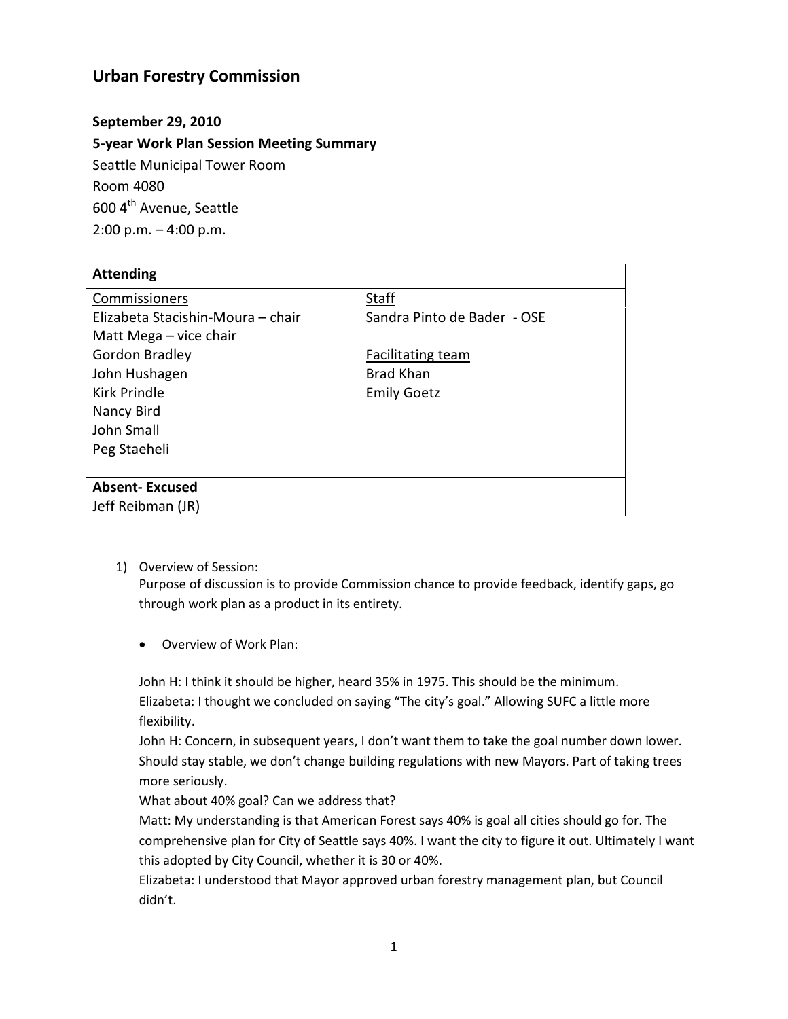## **Urban Forestry Commission**

## **September 29, 2010**

**5-year Work Plan Session Meeting Summary** Seattle Municipal Tower Room Room 4080 600 4<sup>th</sup> Avenue, Seattle 2:00 p.m. – 4:00 p.m.

| <b>Attending</b>                  |                             |
|-----------------------------------|-----------------------------|
| Commissioners                     | <b>Staff</b>                |
| Elizabeta Stacishin-Moura - chair | Sandra Pinto de Bader - OSE |
| Matt Mega – vice chair            |                             |
| Gordon Bradley                    | Facilitating team           |
| John Hushagen                     | <b>Brad Khan</b>            |
| Kirk Prindle                      | <b>Emily Goetz</b>          |
| Nancy Bird                        |                             |
| John Small                        |                             |
| Peg Staeheli                      |                             |
|                                   |                             |
| <b>Absent-Excused</b>             |                             |
| Jeff Reibman (JR)                 |                             |

1) Overview of Session:

Purpose of discussion is to provide Commission chance to provide feedback, identify gaps, go through work plan as a product in its entirety.

• Overview of Work Plan:

John H: I think it should be higher, heard 35% in 1975. This should be the minimum. Elizabeta: I thought we concluded on saying "The city's goal." Allowing SUFC a little more flexibility.

John H: Concern, in subsequent years, I don't want them to take the goal number down lower. Should stay stable, we don't change building regulations with new Mayors. Part of taking trees more seriously.

What about 40% goal? Can we address that?

Matt: My understanding is that American Forest says 40% is goal all cities should go for. The comprehensive plan for City of Seattle says 40%. I want the city to figure it out. Ultimately I want this adopted by City Council, whether it is 30 or 40%.

Elizabeta: I understood that Mayor approved urban forestry management plan, but Council didn't.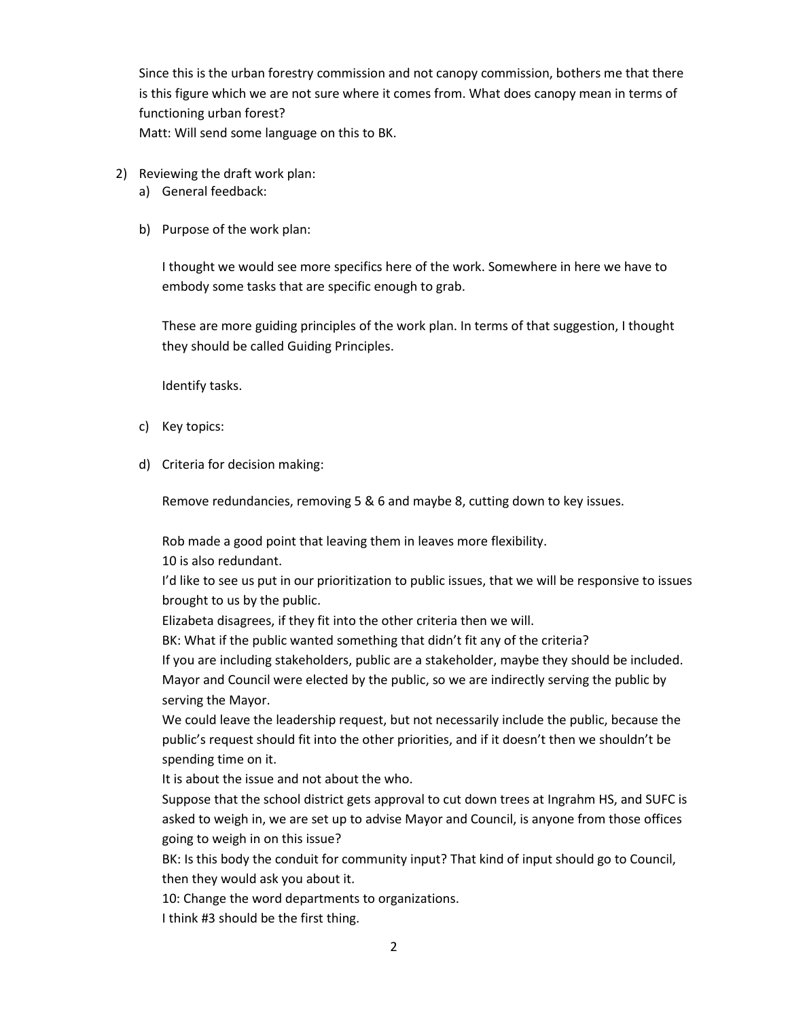Since this is the urban forestry commission and not canopy commission, bothers me that there is this figure which we are not sure where it comes from. What does canopy mean in terms of functioning urban forest? Matt: Will send some language on this to BK.

- 2) Reviewing the draft work plan:
	- a) General feedback:
	- b) Purpose of the work plan:

I thought we would see more specifics here of the work. Somewhere in here we have to embody some tasks that are specific enough to grab.

These are more guiding principles of the work plan. In terms of that suggestion, I thought they should be called Guiding Principles.

Identify tasks.

- c) Key topics:
- d) Criteria for decision making:

Remove redundancies, removing 5 & 6 and maybe 8, cutting down to key issues.

Rob made a good point that leaving them in leaves more flexibility.

10 is also redundant.

I'd like to see us put in our prioritization to public issues, that we will be responsive to issues brought to us by the public.

Elizabeta disagrees, if they fit into the other criteria then we will.

BK: What if the public wanted something that didn't fit any of the criteria?

If you are including stakeholders, public are a stakeholder, maybe they should be included. Mayor and Council were elected by the public, so we are indirectly serving the public by serving the Mayor.

We could leave the leadership request, but not necessarily include the public, because the public's request should fit into the other priorities, and if it doesn't then we shouldn't be spending time on it.

It is about the issue and not about the who.

Suppose that the school district gets approval to cut down trees at Ingrahm HS, and SUFC is asked to weigh in, we are set up to advise Mayor and Council, is anyone from those offices going to weigh in on this issue?

BK: Is this body the conduit for community input? That kind of input should go to Council, then they would ask you about it.

10: Change the word departments to organizations.

I think #3 should be the first thing.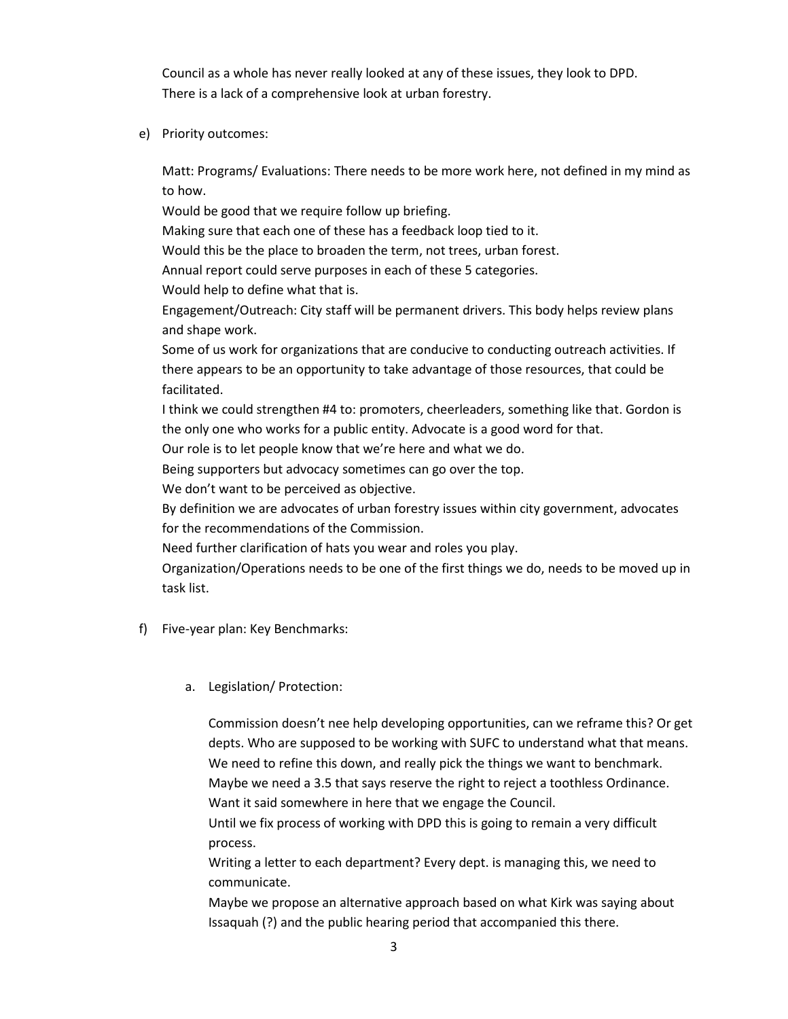Council as a whole has never really looked at any of these issues, they look to DPD. There is a lack of a comprehensive look at urban forestry.

e) Priority outcomes:

Matt: Programs/ Evaluations: There needs to be more work here, not defined in my mind as to how.

Would be good that we require follow up briefing.

Making sure that each one of these has a feedback loop tied to it.

Would this be the place to broaden the term, not trees, urban forest.

Annual report could serve purposes in each of these 5 categories.

Would help to define what that is.

Engagement/Outreach: City staff will be permanent drivers. This body helps review plans and shape work.

Some of us work for organizations that are conducive to conducting outreach activities. If there appears to be an opportunity to take advantage of those resources, that could be facilitated.

I think we could strengthen #4 to: promoters, cheerleaders, something like that. Gordon is the only one who works for a public entity. Advocate is a good word for that.

Our role is to let people know that we're here and what we do.

Being supporters but advocacy sometimes can go over the top.

We don't want to be perceived as objective.

By definition we are advocates of urban forestry issues within city government, advocates for the recommendations of the Commission.

Need further clarification of hats you wear and roles you play.

Organization/Operations needs to be one of the first things we do, needs to be moved up in task list.

- f) Five-year plan: Key Benchmarks:
	- a. Legislation/ Protection:

Commission doesn't nee help developing opportunities, can we reframe this? Or get depts. Who are supposed to be working with SUFC to understand what that means. We need to refine this down, and really pick the things we want to benchmark. Maybe we need a 3.5 that says reserve the right to reject a toothless Ordinance. Want it said somewhere in here that we engage the Council.

Until we fix process of working with DPD this is going to remain a very difficult process.

Writing a letter to each department? Every dept. is managing this, we need to communicate.

Maybe we propose an alternative approach based on what Kirk was saying about Issaquah (?) and the public hearing period that accompanied this there.